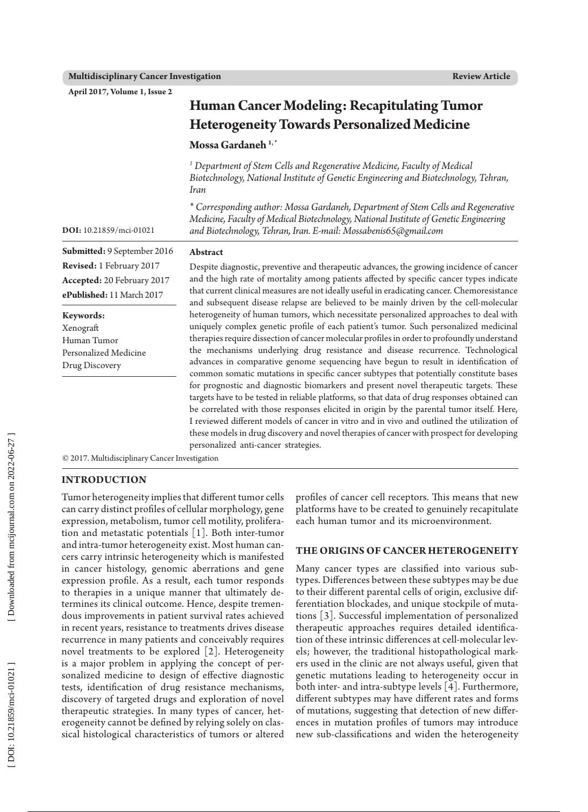**April 2017, Volume 1, Issue 2**

# **Human Cancer Modeling: Recapitulating Tumor Heterogeneity Towards Personalized Medicine**

**Mossa Gardaneh 1, \***

*1 Department of Stem Cells and Regenerative Medicine, Faculty of Medical Biotechnology, National Institute of Genetic Engineering and Biotechnology, Tehran, Iran*

*\* Corresponding author: Mossa Gardaneh, Department of Stem Cells and Regenerative Medicine, Faculty of Medical Biotechnology, National Institute of Genetic Engineering and Biotechnology, Tehran, Iran. E-mail: Mossabenis65@gmail.com*

**Submitted:**  9 September 2016 **Revised:**  1 February 2017 **Accepted:** 20 February 2017

**Keywords:** Xenograft Human Tumor Personalized Medicine Drug Discovery

**ePublished:** 11 March 2017

**DOI:** 10.21859/mci-01021

### **Abstract**

Despite diagnostic, preventive and therapeutic advances, the growing incidence of cancer and the high rate of mortality among patients affected by specific cancer types indicate that current clinical measures are not ideally useful in eradicating cancer. Chemoresistance and subsequent disease relapse are believed to be mainly driven by the cell-molecular heterogeneity of human tumors, which necessitate personalized approaches to deal with uniquely complex genetic profile of each patient's tumor. Such personalized medicinal therapies require dissection of cancer molecular profiles in order to profoundly understand the mechanisms underlying drug resistance and disease recurrence. Technological advances in comparative genome sequencing have begun to result in identification of common somatic mutations in specific cancer subtypes that potentially constitute bases for prognostic and diagnostic biomarkers and present novel therapeutic targets. These targets have to be tested in reliable platforms, so that data of drug responses obtained can be correlated with those responses elicited in origin by the parental tumor itself. Here, I reviewed different models of cancer in vitro and in vivo and outlined the utilization of these models in drug discovery and novel therapies of cancer with prospect for developing personalized anti-cancer strategies.

© 2017. Multidisciplinary Cancer Investigation

# **INTRODUCTION**

Tumor heterogeneity implies that different [tumor cells](https://en.wikipedia.org/wiki/Tumour_cells)  can carry distinct profiles of cellular morphology, gene expression, metabolism, tumor cell motility, prolifera tion and metastatic potentials [1]. Both inter-tumor and intra-tumor heterogeneity exist. Most human can cers carry intrinsic heterogeneity which is manifested in cancer histology, genomic aberrations and gene expression profile. As a result, each tumor responds to therapies in a unique manner that ultimately de termines its clinical outcome. Hence, despite tremen dous improvements in patient survival rates achieved in recent years, resistance to treatments drives disease recurrence in many patients and conceivably requires novel treatments to be explored [2]. Heterogeneity is a major problem in applying the concept of per sonalized medicine to design of effective diagnostic tests, identification of drug resistance mechanisms, discovery of targeted drugs and exploration of novel therapeutic strategies. In many types of cancer, het erogeneity cannot be defined by relying solely on clas sical histological characteristics of tumors or altered profiles of cancer cell receptors. This means that new platforms have to be created to genuinely recapitulate each human tumor and its microenvironment.

#### **The Origins of Cancer Heterogen eit y**

Many cancer types are classified into various sub types. Differences between these subtypes may be due to their different parental cells of origin, exclusive differentiation blockades, and unique stockpile of mutations [3]. Successful implementation of personalized therapeutic approaches requires detailed identifica tion of these intrinsic differences at cell-molecular lev els; however, the traditional histopathological markers used in the clinic are not always useful, given that genetic mutations leading to heterogeneity occur in both inter- and intra-subtype levels [4]. Furthermore, different subtypes may have different rates and forms of mutations, suggesting that detection of new differ ences in mutation profiles of tumors may introduce new sub-classifications and widen the heterogeneity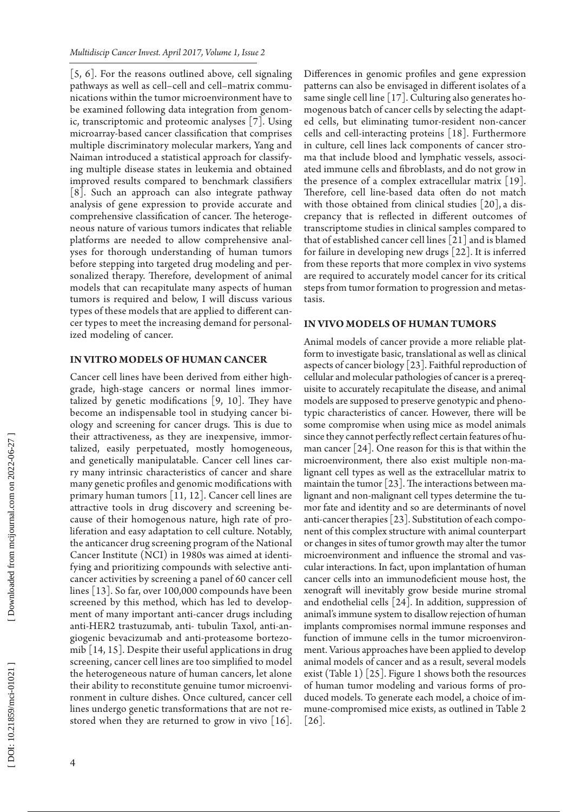[5, 6]. For the reasons outlined above, cell signaling pathways as well as cell–cell and cell–matrix commu nications within the tumor microenvironment have to be examined following data integration from genom ic, transcriptomic and proteomic analyses [7]. Using microarray-based cancer classification that comprises multiple discriminatory molecular markers, Yang and Naiman introduced a statistical approach for classify ing multiple disease states in leukemia and obtained improved results compared to benchmark classifiers [8]. Such an approach can also integrate pathway analysis of gene expression to provide accurate and comprehensive classification of cancer. The heteroge neous nature of various tumors indicates that reliable platforms are needed to allow comprehensive anal yses for thorough understanding of human tumors before stepping into targeted drug modeling and per sonalized therapy. Therefore, development of animal models that can recapitulate many aspects of human tumors is required and below, I will discuss various types of these models that are applied to different can cer types to meet the increasing demand for personal ized modeling of cancer.

### **In Vitro Models of Human Canc e r**

Cancer cell lines have been derived from either highgrade, high-stage cancers or normal lines immortalized by genetic modifications [9, 10]. They have become an indispensable tool in studying cancer bi ology and screening for cancer drugs. This is due to their attractiveness, as they are inexpensive, immor talized, easily perpetuated, mostly homogeneous, and genetically manipulatable. Cancer cell lines car ry many intrinsic characteristics of cancer and share many genetic profiles and genomic modifications with primary human tumors [11, 12]. Cancer cell lines are attractive tools in drug discovery and screening be cause of their homogenous nature, high rate of pro liferation and easy adaptation to cell culture. Notably, the anticancer drug screening program of the National Cancer Institute (NCI) in 1980s was aimed at identi fying and prioritizing compounds with selective anti cancer activities by screening a panel of 60 cancer cell lines [13]. So far, over 100,000 compounds have been screened by this method, which has led to develop ment of many important anti-cancer drugs including anti-HER2 trastuzumab, anti- tubulin Taxol, anti-an giogenic bevacizumab and anti-proteasome bortezo mib [14, 15]. Despite their useful applications in drug screening, cancer cell lines are too simplified to model the heterogeneous nature of human cancers, let alone their ability to reconstitute genuine tumor microenvi ronment in culture dishes. Once cultured, cancer cell lines undergo genetic transformations that are not re stored when they are returned to grow in vivo  $[16]$ .

Differences in genomic profiles and gene expression patterns can also be envisaged in different isolates of a same single cell line [17]. Culturing also generates ho mogenous batch of cancer cells by selecting the adapt ed cells, but eliminating tumor-resident non-cancer cells and cell-interacting proteins [18]. Furthermore in culture, cell lines lack components of cancer stro ma that include blood and lymphatic vessels, associ ated immune cells and fibroblasts, and do not grow in the presence of a complex extracellular matrix [19]. Therefore, cell line-based data often do not match with those obtained from clinical studies [20], a dis crepancy that is reflected in different outcomes of transcriptome studies in clinical samples compared to that of established cancer cell lines [21] and is blamed for failure in developing new drugs [22]. It is inferred from these reports that more complex in vivo systems are required to accurately model cancer for its critical steps from tumor formation to progression and metas tasis.

# IN VIVO MODELS OF HUMAN TU

Animal models of cancer provide a more reliable plat form to investigate basic, translational as well as clinical aspects of cancer biology [23]. Faithful reproduction of cellular and molecular pathologies of cancer is a prereq uisite to accurately recapitulate the disease, and animal models are supposed to preserve genotypic and pheno typic characteristics of cancer. However, there will be some compromise when using mice as model animals since they cannot perfectly reflect certain features of hu man cancer [24]. One reason for this is that within the microenvironment, there also exist multiple non-ma lignant cell types as well as the extracellular matrix to maintain the tumor  $\lfloor 23 \rfloor$ . The interactions between malignant and non-malignant cell types determine the tu mor fate and identity and so are determinants of novel anti-cancer therapies [23]. Substitution of each compo nent of this complex structure with animal counterpart or changes in sites of tumor growth may alter the tumor microenvironment and influence the stromal and vas cular interactions. In fact, upon implantation of human cancer cells into an immunodeficient mouse host, the xenograft will inevitably grow beside murine stromal and endothelial cells [24]. In addition, suppression of animal's immune system to disallow rejection of human implants compromises normal immune responses and function of immune cells in the tumor microenviron ment. Various approaches have been applied to develop animal models of cancer and as a result, several models exist (Table 1) [25]. Figure 1 shows both the resources of human tumor modeling and various forms of pro duced models. To generate each model, a choice of im mune-compromised mice exists, as outlined in Table 2 [26].

DOI: 10.21859/mci-01021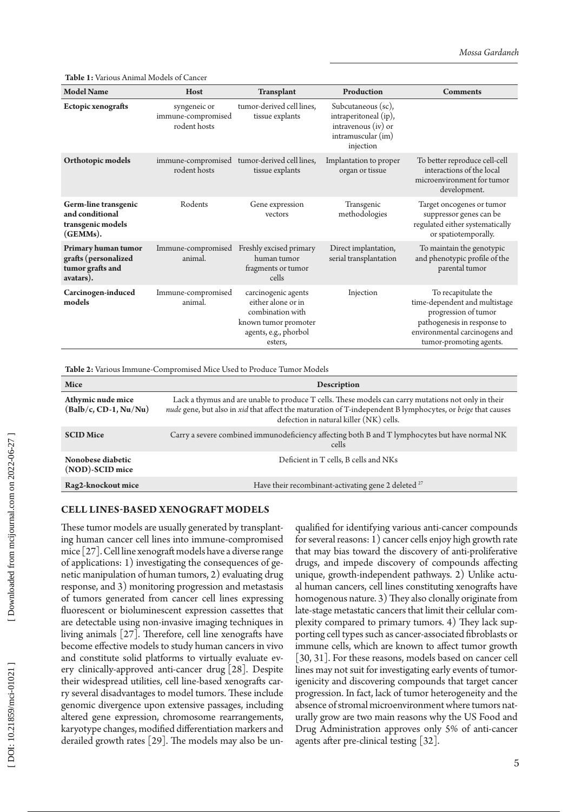**Table 1:** Various Animal Models of Cancer

| <b>Model Name</b>                                                            | Host                                               | <b>Transplant</b>                                                                                                         | Production                                                                                              | <b>Comments</b>                                                                                                                                                         |
|------------------------------------------------------------------------------|----------------------------------------------------|---------------------------------------------------------------------------------------------------------------------------|---------------------------------------------------------------------------------------------------------|-------------------------------------------------------------------------------------------------------------------------------------------------------------------------|
| Ectopic xenografts                                                           | syngeneic or<br>immune-compromised<br>rodent hosts | tumor-derived cell lines,<br>tissue explants                                                                              | Subcutaneous (sc),<br>intraperitoneal (ip),<br>intravenous $(iv)$ or<br>intramuscular (im)<br>injection |                                                                                                                                                                         |
| Orthotopic models                                                            | immune-compromised<br>rodent hosts                 | tumor-derived cell lines,<br>tissue explants                                                                              | Implantation to proper<br>organ or tissue                                                               | To better reproduce cell-cell<br>interactions of the local<br>microenvironment for tumor<br>development.                                                                |
| Germ-line transgenic<br>and conditional<br>transgenic models<br>(GEMMs).     | Rodents                                            | Gene expression<br>vectors                                                                                                | Transgenic<br>methodologies                                                                             | Target oncogenes or tumor<br>suppressor genes can be<br>regulated either systematically<br>or spatiotemporally.                                                         |
| Primary human tumor<br>grafts (personalized<br>tumor grafts and<br>avatars). | Immune-compromised<br>animal.                      | Freshly excised primary<br>human tumor<br>fragments or tumor<br>cells                                                     | Direct implantation,<br>serial transplantation                                                          | To maintain the genotypic<br>and phenotypic profile of the<br>parental tumor                                                                                            |
| Carcinogen-induced<br>models                                                 | Immune-compromised<br>animal.                      | carcinogenic agents<br>either alone or in<br>combination with<br>known tumor promoter<br>agents, e.g., phorbol<br>esters, | Injection                                                                                               | To recapitulate the<br>time-dependent and multistage<br>progression of tumor<br>pathogenesis in response to<br>environmental carcinogens and<br>tumor-promoting agents. |

**Table 2:** Various Immune-Compromised Mice Used to Produce Tumor Models

| Mice                                         | <b>Description</b>                                                                                                                                                                                                                                           |  |  |
|----------------------------------------------|--------------------------------------------------------------------------------------------------------------------------------------------------------------------------------------------------------------------------------------------------------------|--|--|
| Athymic nude mice<br>$(Balb/c, CD-1, Nu/Nu)$ | Lack a thymus and are unable to produce T cells. These models can carry mutations not only in their<br>nude gene, but also in xid that affect the maturation of T-independent B lymphocytes, or beige that causes<br>defection in natural killer (NK) cells. |  |  |
| <b>SCID Mice</b>                             | Carry a severe combined immunodeficiency affecting both B and T lymphocytes but have normal NK<br>cells                                                                                                                                                      |  |  |
| Nonobese diabetic<br>(NOD)-SCID mice         | Deficient in T cells, B cells and NKs                                                                                                                                                                                                                        |  |  |
| Rag2-knockout mice                           | Have their recombinant-activating gene 2 deleted <sup>27</sup>                                                                                                                                                                                               |  |  |

# **Cell Lin e s-Bas e d Xenograf t Model s**

These tumor models are usually generated by transplant ing human cancer cell lines into immune-compromised mice [27]. Cell line xenograft models have a diverse range of applications: 1) investigating the consequences of ge netic manipulation of human tumors, 2) evaluating drug response, and 3) monitoring progression and metastasis of tumors generated from cancer cell lines expressing fluorescent or bioluminescent expression cassettes that are detectable using non-invasive imaging techniques in living animals [27]. Therefore, cell line xenografts have become effective models to study human cancers in vivo and constitute solid platforms to virtually evaluate every clinically-approved anti-cancer drug [28]. Despite their widespread utilities, cell line-based xenografts car ry several disadvantages to model tumors. These include genomic divergence upon extensive passages, including altered gene expression, chromosome rearrangements, karyotype changes, modified differentiation markers and derailed growth rates [29]. The models may also be un -

qualified for identifying various anti-cancer compounds for several reasons: 1) cancer cells enjoy high growth rate that may bias toward the discovery of anti-proliferative drugs, and impede discovery of compounds affecting unique, growth-independent pathways. 2) Unlike actu al human cancers, cell lines constituting xenografts have homogenous nature. 3) They also clonally originate from late-stage metastatic cancers that limit their cellular com plexity compared to primary tumors. 4) They lack sup porting cell types such as cancer-associated fibroblasts or immune cells, which are known to affect tumor growth [30, 31]. For these reasons, models based on cancer cell lines may not suit for investigating early events of tumor igenicity and discovering compounds that target cancer progression. In fact, lack of tumor heterogeneity and the absence of stromal microenvironment where tumors nat urally grow are two main reasons why the US Food and Drug Administration approves only 5% of anti-cancer agents after pre-clinical testing [32].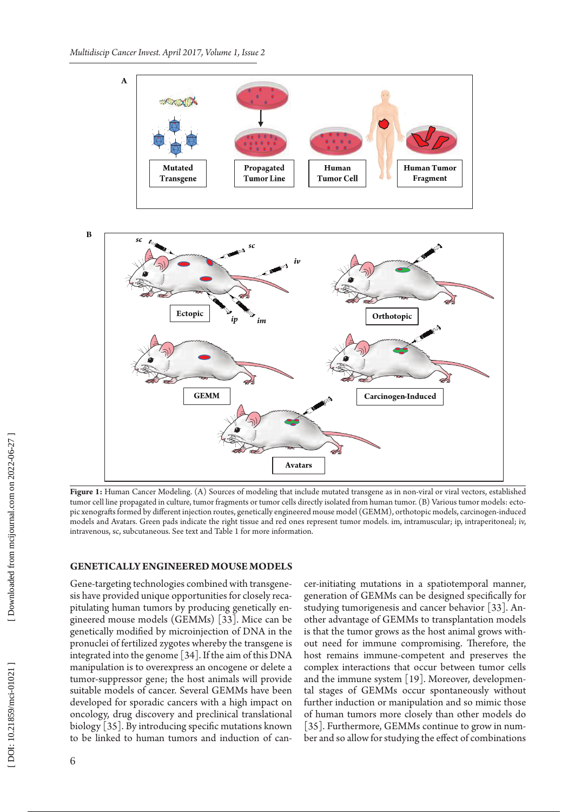



**Figure 1:** Human Cancer Modeling. (A) Sources of modeling that include mutated transgene as in non-viral or viral vectors, established tumor cell line propagated in culture, tumor fragments or tumor cells directly isolated from human tumor. (B) Various tumor models: ecto pic xenografts formed by different injection routes, genetically engineered mouse model (GEMM), orthotopic models, carcinogen-induced models and Avatars. Green pads indicate the right tissue and red ones represent tumor models. im, intramuscular; ip, intraperitoneal; iv, intravenous, sc, subcutaneous. See text and Table 1 for more information.

# **Ge n etically Enginee re d Mouse Model s**

Gene-targeting technologies combined with transgene sis have provided unique opportunities for closely reca pitulating human tumors by producing genetically en gineered mouse models (GEMMs) [33]. Mice can be genetically modified by microinjection of DNA in the pronuclei of fertilized zygotes whereby the transgene is integrated into the genome [34]. If the aim of this DNA manipulation is to overexpress an oncogene or delete a tumor-suppressor gene; the host animals will provide suitable models of cancer. Several GEMMs have been developed for sporadic cancers with a high impact on oncology, drug discovery and preclinical translational biology [35]. By introducing specific mutations known to be linked to human tumors and induction of can -

cer-initiating mutations in a spatiotemporal manner, generation of GEMMs can be designed specifically for studying tumorigenesis and cancer behavior [33]. An other advantage of GEMMs to transplantation models is that the tumor grows as the host animal grows with out need for immune compromising. Therefore, the host remains immune-competent and preserves the complex interactions that occur between tumor cells and the immune system [19]. Moreover, developmen tal stages of GEMMs occur spontaneously without further induction or manipulation and so mimic those of human tumors more closely than other models do [35]. Furthermore, GEMMs continue to grow in number and so allow for studying the effect of combinations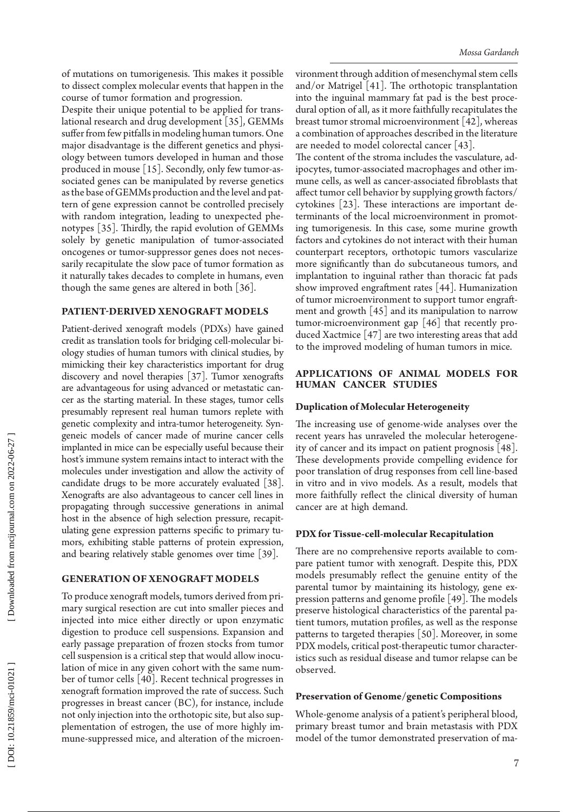of mutations on tumorigenesis. This makes it possible to dissect complex molecular events that happen in the course of tumor formation and progression.

Despite their unique potential to be applied for trans lational research and drug development [35], GEMMs suffer from few pitfalls in modeling human tumors. One major disadvantage is the different genetics and physi ology between tumors developed in human and those produced in mouse [15]. Secondly, only few tumor-as sociated genes can be manipulated by reverse genetics as the base of GEMMs production and the level and pat tern of gene expression cannot be controlled precisely with random integration, leading to unexpected phe notypes [35]. Thirdly, the rapid evolution of GEMMs solely by genetic manipulation of tumor-associated oncogenes or tumor-suppressor genes does not neces sarily recapitulate the slow pace of tumor formation as it naturally takes decades to complete in humans, even though the same genes are altered in both [36].

# **Patient-Derived Xenograft Model s**

Patient-derived xenograft models (PDXs) have gained credit as translation tools for bridging cell-molecular bi ology studies of human tumors with clinical studies, by mimicking their key characteristics important for drug discovery and novel therapies [37]. Tumor xenografts are advantageous for using advanced or metastatic can cer as the starting material. In these stages, tumor cells presumably represent real human tumors replete with genetic complexity and intra-tumor heterogeneity. Syn geneic models of cancer made of murine cancer cells implanted in mice can be especially useful because their host's immune system remains intact to interact with the molecules under investigation and allow the activity of candidate drugs to be more accurately evaluated [38]. Xenografts are also advantageous to cancer cell lines in propagating through successive generations in animal host in the absence of high selection pressure, recapit ulating gene expression patterns specific to primary tu mors, exhibiting stable patterns of protein expression, and bearing relatively stable genomes over time [39].

#### **Ge neration of Xenograf t Model s**

To produce xenograft models, tumors derived from pri mary surgical resection are cut into smaller pieces and injected into mice either directly or upon enzymatic digestion to produce cell suspensions. Expansion and early passage preparation of frozen stocks from tumor cell suspension is a critical step that would allow inocu lation of mice in any given cohort with the same num ber of tumor cells [40]. Recent technical progresses in xenograft formation improved the rate of success. Such progresses in breast cancer (BC), for instance, include not only injection into the orthotopic site, but also sup plementation of estrogen, the use of more highly im mune-suppressed mice, and alteration of the microen -

vironment through addition of mesenchymal stem cells and/or Matrigel [41]. The orthotopic transplantation into the inguinal mammary fat pad is the best proce dural option of all, as it more faithfully recapitulates the breast tumor stromal microenvironment [42], whereas a combination of approaches described in the literature are needed to model colorectal cancer [43].

The content of the stroma includes the vasculature, ad ipocytes, tumor-associated macrophages and other im mune cells, as well as cancer-associated fibroblasts that affect tumor cell behavior by supplying growth factors/ cytokines [23]. These interactions are important de terminants of the local microenvironment in promot ing tumorigenesis. In this case, some murine growth factors and cytokines do not interact with their human counterpart receptors, orthotopic tumors vascularize more significantly than do subcutaneous tumors, and implantation to inguinal rather than thoracic fat pads show improved engraftment rates [44]. Humanization of tumor microenvironment to support tumor engraft ment and growth [45] and its manipulation to narrow tumor-microenvironment gap [46] that recently pro duced Xactmice [47] are two interesting areas that add to the improved modeling of human tumors in mice.

# **Applications of Animal Models for Human Cancer Studies**

### **Duplication of Molecular Heterogeneity**

The increasing use of genome-wide analyses over the recent years has unraveled the molecular heterogene ity of cancer and its impact on patient prognosis [48]. These developments provide compelling evidence for poor translation of drug responses from cell line-based in vitro and in vivo models. As a result, models that more faithfully reflect the clinical diversity of human cancer are at high demand.

# **PDX for Tissue-cell-molecular Recapitulation**

There are no comprehensive reports available to com pare patient tumor with xenograft. Despite this, PDX models presumably reflect the genuine entity of the parental tumor by maintaining its histology, gene ex pression patterns and genome profile [49]. The models preserve histological characteristics of the parental pa tient tumors, mutation profiles, as well as the response patterns to targeted therapies [50]. Moreover, in some PDX models, critical post-therapeutic tumor character istics such as residual disease and tumor relapse can be observed.

#### **Preservation of Genome/genetic Compositions**

Whole-genome analysis of a patient's peripheral blood, primary breast tumor and brain metastasis with PDX model of the tumor demonstrated preservation of ma -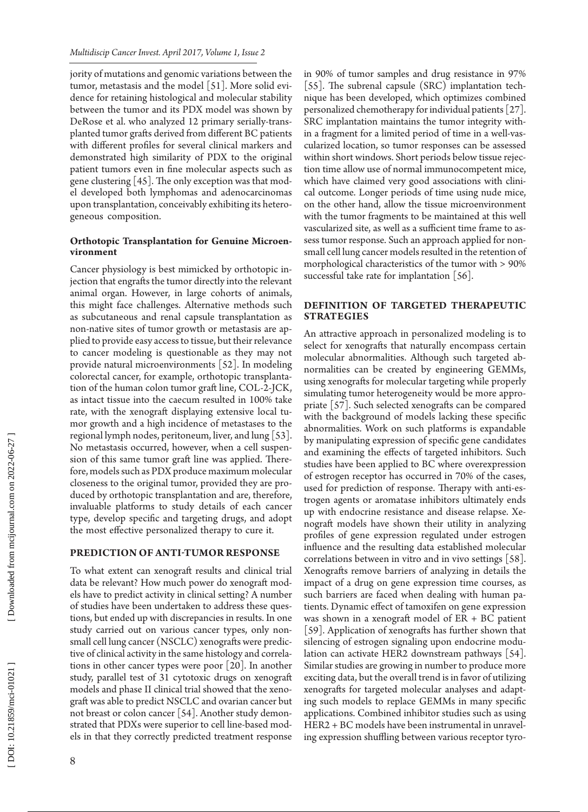jority of mutations and genomic variations between the tumor, metastasis and the model [51]. More solid evi dence for retaining histological and molecular stability between the tumor and its PDX model was shown by DeRose et al. who analyzed 12 primary serially-trans planted tumor grafts derived from different BC patients with different profiles for several clinical markers and demonstrated high similarity of PDX to the original patient tumors even in fine molecular aspects such as gene clustering [45]. The only exception was that mod el developed both lymphomas and adenocarcinomas upon transplantation, conceivably exhibiting its hetero geneous composition.

# **Orthotopic Transplantation for Genuine Microen - vironment**

Cancer physiology is best mimicked by orthotopic in jection that engrafts the tumor directly into the relevant animal organ. However, in large cohorts of animals, this might face challenges. Alternative methods such as subcutaneous and renal capsule transplantation as non-native sites of tumor growth or metastasis are ap plied to provide easy access to tissue, but their relevance to cancer modeling is questionable as they may not provide natural microenvironments [52]. In modeling colorectal cancer, for example, orthotopic transplanta tion of the human colon tumor graft line, COL-2-JCK, as intact tissue into the caecum resulted in 100% take rate, with the xenograft displaying extensive local tu mor growth and a high incidence of metastases to the regional lymph nodes, peritoneum, liver, and lung [53]. No metastasis occurred, however, when a cell suspen sion of this same tumor graft line was applied. There fore, models such as PDX produce maximum molecular closeness to the original tumor, provided they are pro duced by orthotopic transplantation and are, therefore, invaluable platforms to study details of each cancer type, develop specific and targeting drugs, and adopt the most effective personalized therapy to cure it.

# **Prediction of Anti-Tumor Response**

To what extent can xenograft results and clinical trial data be relevant? How much power do xenograft mod els have to predict activity in clinical setting? A number of studies have been undertaken to address these ques tions, but ended up with discrepancies in results. In one study carried out on various cancer types, only nonsmall cell lung cancer (NSCLC) xenografts were predictive of clinical activity in the same histology and correlations in other cancer types were poor [20]. In another study, parallel test of 31 cytotoxic drugs on xenograft models and phase II clinical trial showed that the xeno graft was able to predict NSCLC and ovarian cancer but not breast or colon cancer [54]. Another study demon strated that PDXs were superior to cell line-based mod els in that they correctly predicted treatment response

in 90% of tumor samples and drug resistance in 97% [55]. The subrenal capsule (SRC) implantation technique has been developed, which optimizes combined personalized chemotherapy for individual patients [27]. SRC implantation maintains the tumor integrity with in a fragment for a limited period of time in a well-vas cularized location, so tumor responses can be assessed within short windows. Short periods below tissue rejec tion time allow use of normal immunocompetent mice, which have claimed very good associations with clini cal outcome. Longer periods of time using nude mice, on the other hand, allow the tissue microenvironment with the tumor fragments to be maintained at this well vascularized site, as well as a sufficient time frame to as sess tumor response. Such an approach applied for nonsmall cell lung cancer models resulted in the retention of morphological characteristics of the tumor with > 90% successful take rate for implantation [56].

# **DEFINITION OF TARGETED THERAPEU S t rat egi e s**

An attractive approach in personalized modeling is to select for xenografts that naturally encompass certain molecular abnormalities. Although such targeted ab normalities can be created by engineering GEMMs, using xenografts for molecular targeting while properly simulating tumor heterogeneity would be more appro priate [57]. Such selected xenografts can be compared with the background of models lacking these specific abnormalities. Work on such platforms is expandable by manipulating expression of specific gene candidates and examining the effects of targeted inhibitors. Such studies have been applied to BC where overexpression of estrogen receptor has occurred in 70% of the cases, used for prediction of response. Therapy with anti-es trogen agents or aromatase inhibitors ultimately ends up with endocrine resistance and disease relapse. Xe nograft models have shown their utility in analyzing profiles of gene expression regulated under estrogen influence and the resulting data established molecular correlations between in vitro and in vivo settings [58]. Xenografts remove barriers of analyzing in details the impact of a drug on gene expression time courses, as such barriers are faced when dealing with human pa tients. Dynamic effect of tamoxifen on gene expression was shown in a xenograft model of ER + BC patient [59]. Application of xenografts has further shown that silencing of estrogen signaling upon endocrine modu lation can activate HER2 downstream pathways [54]. Similar studies are growing in number to produce more exciting data, but the overall trend is in favor of utilizing xenografts for targeted molecular analyses and adapt ing such models to replace GEMMs in many specific applications. Combined inhibitor studies such as using HER2 + BC models have been instrumental in unravel ing expression shuffling between various receptor tyro -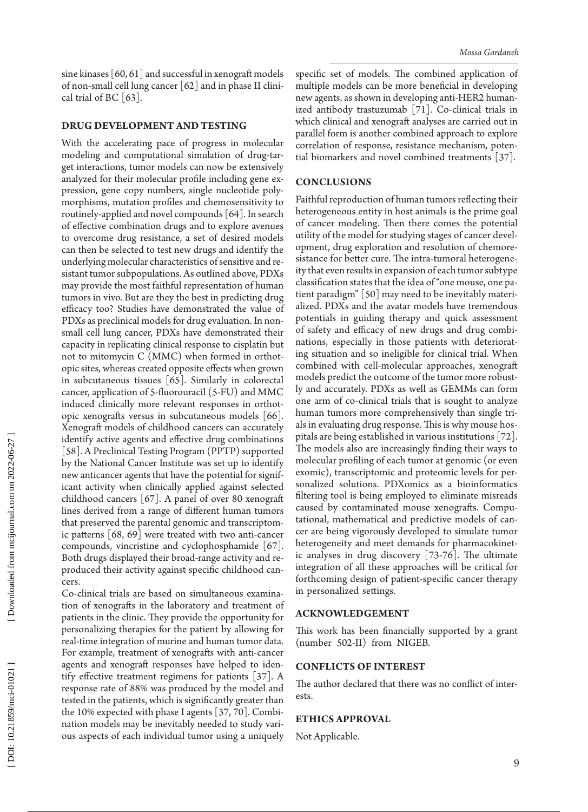sine kinases  $\lceil 60, 61 \rceil$  and successful in xenograft models of non-small cell lung cancer [62] and in phase II clini cal trial of BC  $\lceil 63 \rceil$ .

# **DRUG DEVELOPMENT AND TES**

With the accelerating pace of progress in molecular modeling and computational simulation of drug-tar get interactions, tumor models can now be extensively analyzed for their molecular profile including gene ex pression, gene copy numbers, single nucleotide poly morphisms, mutation profiles and chemosensitivity to routinely-applied and novel compounds [64]. In search of effective combination drugs and to explore avenues to overcome drug resistance, a set of desired models can then be selected to test new drugs and identify the underlying molecular characteristics of sensitive and re sistant tumor subpopulations. As outlined above, PDXs may provide the most faithful representation of human tumors in vivo. But are they the best in predicting drug efficacy too? Studies have demonstrated the value of PDXs as preclinical models for drug evaluation. In nonsmall cell lung cancer, PDXs have demonstrated their capacity in replicating clinical response to cisplatin but not to mitomycin C (MMC) when formed in orthot opic sites, whereas created opposite effects when grown in subcutaneous tissues [65]. Similarly in colorectal cancer, application of 5-fluorouracil (5-FU) and MMC induced clinically more relevant responses in orthot opic xenografts versus in subcutaneous models [66]. Xenograft models of childhood cancers can accurately identify active agents and effective drug combinations [58]. A Preclinical Testing Program (PPTP) supported by the National Cancer Institute was set up to identify new anticancer agents that have the potential for significant activity when clinically applied against selected childhood cancers [67]. A panel of over 80 xenograft lines derived from a range of different human tumors that preserved the parental genomic and transcriptom ic patterns [68, 69] were treated with two anti-cancer compounds, vincristine and cyclophosphamide [67]. Both drugs displayed their broad-range activity and re produced their activity against specific childhood can cers.

Co-clinical trials are based on simultaneous examina tion of xenografts in the laboratory and treatment of patients in the clinic. They provide the opportunity for personalizing therapies for the patient by allowing for real-time integration of murine and human tumor data. For example, treatment of xenografts with anti-cancer agents and xenograft responses have helped to iden tify effective treatment regimens for patients [37]. A response rate of 88% was produced by the model and tested in the patients, which is significantly greater than the 10% expected with phase I agents [37, 70]. Combi nation models may be inevitably needed to study vari ous aspects of each individual tumor using a uniquely

specific set of models. The combined application of multiple models can be more beneficial in developing new agents, as shown in developing anti-HER2 human ized antibody trastuzumab [71]. Co-clinical trials in which clinical and xenograft analyses are carried out in parallel form is another combined approach to explore correlation of response, resistance mechanism, poten tial biomarkers and novel combined treatments [37].

# **CONC LUSIONS**

Faithful reproduction of human tumors reflecting their heterogeneous entity in host animals is the prime goal of cancer modeling. Then there comes the potential utility of the model for studying stages of cancer devel opment, drug exploration and resolution of chemore sistance for better cure. The intra-tumoral heterogene ity that even results in expansion of each tumor subtype classification states that the idea of "one mouse, one pa tient paradigm" [50] may need to be inevitably materi alized. PDXs and the avatar models have tremendous potentials in guiding therapy and quick assessment of safety and efficacy of new drugs and drug combi nations, especially in those patients with deteriorat ing situation and so ineligible for clinical trial. When combined with cell-molecular approaches, xenograft models predict the outcome of the tumor more robust ly and accurately. PDXs as well as GEMMs can form one arm of co-clinical trials that is sought to analyze human tumors more comprehensively than single tri als in evaluating drug response. This is why mouse hos pitals are being established in various institutions [72]. The models also are increasingly finding their ways to molecular profiling of each tumor at genomic (or even exomic), transcriptomic and proteomic levels for per sonalized solutions. PDXomics as a bioinformatics filtering tool is being employed to eliminate misreads caused by contaminated mouse xenografts. Compu tational, mathematical and predictive models of can cer are being vigorously developed to simulate tumor heterogeneity and meet demands for pharmacokinet ic analyses in drug discovery [73-76]. The ultimate integration of all these approaches will be critical for forthcoming design of patient-specific cancer therapy in personalized settings.

#### **ACKNOWLEDG E M ENT**

This work has been financially supported by a grant (number 502-II) from NIGEB.

# **CONFLICTS O F INT E REST**

The author declared that there was no conflict of inter ests .

#### **ETHICS APPROVA L**

Not Applicable.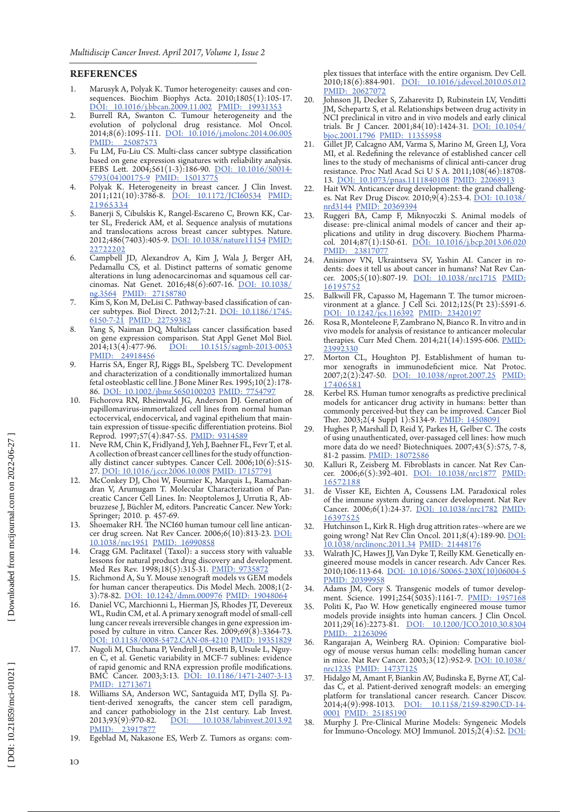# **RENC E S**

- 1. Marusyk A, Polyak K. Tumor heterogeneity: causes and con sequences. Biochim Biophys Acta. 2010;1805(1):105-17. [DOI: 10.1016/j.bbcan.2009.11.002](http://dx.doi.org/10.1016/j.bbcan.2009.11.002) [PMID: 19931353](http://www.ncbi.nlm.nih.gov/pubmed/19931353)
- 2. Burrell RA, Swanton C. Tumour heterogeneity and the evolution of polyclonal drug resistance. Mol Oncol. 2014;8(6):1095-111. [DOI: 10.1016/j.molonc.2014.06.005](http://dx.doi.org/10.1016/j.molonc.2014.06.005) [PMID: 25087573](http://www.ncbi.nlm.nih.gov/pubmed/25087573)
- 3. Fu LM, Fu-Liu CS. Multi-class cancer subtype classification based on gene expression signatures with reliability analysis. FEBS Lett. 2004;561(1-3):186-90. [DOI: 10.1016/S0014-](http://dx.doi.org/10.1016/S0014-5793\(04\)00175-9) [5793\(04\)00175-9](http://dx.doi.org/10.1016/S0014-5793\(04\)00175-9) [PMID: 15013775](http://www.ncbi.nlm.nih.gov/pubmed/15013775)
- 4. Polyak K. Heterogeneity in breast cancer. J Clin Invest. 2011;121(10):3786-8. <u>[DOI: 10.1172/JCI60534](http://dx.doi.org/10.1172/JCI60534)</u> PMID: [21965334](http://www.ncbi.nlm.nih.gov/pubmed/21965334)
- **RE** 1. 2. 3. 4. 5. 6. 6. 7. 8. 9. 10. 11. 12. 13. 14. 15. 16. 17. 18. 19. 10 5. Banerji S, Cibulskis K, Rangel-Escareno C, Brown KK, Car ter SL, Frederick AM, et al. Sequence analysis of mutations and translocations across breast cancer subtypes. Nature. 2012;486(7403):405-9. [DOI: 10.1038/nature11154](http://dx.doi.org/10.1038/nature11154) [PMID:](http://www.ncbi.nlm.nih.gov/pubmed/22722202)  [22722202](http://www.ncbi.nlm.nih.gov/pubmed/22722202)
- 6. Campbell JD, Alexandrov A, Kim J, Wala J, Berger AH, Pedamallu CS, et al. Distinct patterns of somatic genome alterations in lung adenocarcinomas and squamous cell car cinomas. Nat Genet. 2016;48(6):607-16. [DOI: 10.1038/](http://dx.doi.org/10.1038/ng.3564) [ng.3564](http://dx.doi.org/10.1038/ng.3564) [PMID: 27158780](http://www.ncbi.nlm.nih.gov/pubmed/27158780)
- 7. Kim S, Kon M, DeLisi C. Pathway-based classification of can cer subtypes. Biol Direct. 2012;7:21. [DOI: 10.1186/1745-](http://dx.doi.org/10.1186/1745-6150-7-21) [6150-7-21](http://dx.doi.org/10.1186/1745-6150-7-21) [PMID: 22759382](http://www.ncbi.nlm.nih.gov/pubmed/22759382)
- 8. Yang S, Naiman DQ. Multiclass cancer classification based on gene expression comparison. Stat Appl Genet Mol Biol.<br>2014;13(4):477-96. DOI:  $10.1515/\text{sagmb-2013-0053}$ 2014;13(4):477-96. <u>[DOI: 10.1515/sagmb-2013-0053](http://dx.doi.org/10.1515/sagmb-2013-0053)</u><br>PMID: 24918456 24918456
- 9. Harris SA, Enger RJ, Riggs BL, Spelsberg TC. Development and characterization of a conditionally immortalized human fetal osteoblastic cell line. J Bone Miner Res. 1995;10(2):178- 86. [DOI: 10.1002/jbmr.5650100203](http://dx.doi.org/10.1002/jbmr.5650100203) [PMID: 7754797](http://www.ncbi.nlm.nih.gov/pubmed/7754797)
- 10. Fichorova RN, Rheinwald JG, Anderson DJ. Generation of papillomavirus-immortalized cell lines from normal human ectocervical, endocervical, and vaginal epithelium that main tain expression of tissue-specific differentiation proteins. Biol Reprod. 1997;57(4):847-55. [PMID: 9314589](http://www.ncbi.nlm.nih.gov/pubmed/9314589)
- 11. Neve RM, Chin K, Fridlyand J, Yeh J, Baehner FL, Fevr T, et al. A collection of breast cancer cell lines for the study of function ally distinct cancer subtypes. Cancer Cell. 2006;10(6):515- 27. [DOI: 10.1016/j.ccr.2006.10.008](http://dx.doi.org/10.1016/j.ccr.2006.10.008) [PMID: 17157791](http://www.ncbi.nlm.nih.gov/pubmed/17157791)
- 12. McConkey DJ, Choi W, Fournier K, Marquis L, Ramachan dran V, Arumugam T. Molecular Characterization of Pan creatic Cancer Cell Lines. In: Neoptolemos J, Urrutia R, Ab bruzzese J, Büchler M, editors. Pancreatic Cancer. New York: Springer; 2010. p. 457-69.
- 13. Shoemaker RH. The NCI60 human tumour cell line antican cer drug screen. Nat Rev Cancer. 2006;6(10):813-23. [DOI:](http://dx.doi.org/10.1038/nrc1951)  [10.1038/nrc1951](http://dx.doi.org/10.1038/nrc1951) [PMID: 16990858](http://www.ncbi.nlm.nih.gov/pubmed/16990858)
- 14. Cragg GM. Paclitaxel (Taxol): a success story with valuable lessons for natural product drug discovery and development. Med Res Rev. 1998;18(5):315-31. PMID: 973587.
- 15. Richmond A, Su Y. Mouse xenograft models vs GEM models for human cancer therapeutics. Dis Model Mech. 2008;1(2- 3):78-82. [DOI: 10.1242/dmm.000976](http://dx.doi.org/10.1242/dmm.000976) [PMID: 19048064](http://www.ncbi.nlm.nih.gov/pubmed/19048064)
- 16. Daniel VC, Marchionni L, Hierman JS, Rhodes JT, Devereux WL, Rudin CM, et al. A primary xenograft model of small-cell lung cancer reveals irreversible changes in gene expression im posed by culture in vitro. Cancer Res. 2009;69(8):3364-73. [DOI: 10.1158/0008-5472.CAN-08-4210](http://dx.doi.org/10.1158/0008-5472.CAN-08-4210) [PMID: 19351829](http://www.ncbi.nlm.nih.gov/pubmed/19351829)
- 17. Nugoli M, Chuchana P, Vendrell J, Orsetti B, Ursule L, Nguy en C, et al. Genetic variability in MCF-7 sublines: evidence of rapid genomic and RNA expression profile modifications. BMC Cancer. 2003;3:13. [DOI: 10.1186/1471-2407-3-13](http://dx.doi.org/10.1186/1471-2407-3-13) [PMID: 12713671](http://www.ncbi.nlm.nih.gov/pubmed/12713671)
- 18. Williams SA, Anderson WC, Santaguida MT, Dylla SJ. Pa tient-derived xenografts, the cancer stem cell paradigm, and cancer pathobiology in the 21st century. Lab Invest.<br>2013;93(9):970-82. <u>DOI: 10.1038/labinvest.2013.92</u> 2013;93(9):970-82. [DOI: 10.1038/labinvest.2013.92](http://dx.doi.org/10.1038/labinvest.2013.92) 2013;93(9):970-82.<br>[PMID: 23917877](http://www.ncbi.nlm.nih.gov/pubmed/23917877)
- 19. Egeblad M, Nakasone ES, Werb Z. Tumors as organs: com -

plex tissues that interface with the entire organism. Dev Cell. 2010;18(6):884-901. [DOI: 10.1016/j.devcel.2010.05.012](http://dx.doi.org/10.1016/j.devcel.2010.05.012) [PMID: 20627072](http://www.ncbi.nlm.nih.gov/pubmed/20627072)

- 20. Johnson JI, Decker S, Zaharevitz D, Rubinstein LV, Venditti JM, Schepartz S, et al. Relationships between drug activity in NCI preclinical in vitro and in vivo models and early clinical trials. Br J Cancer. 2001;84(10):1424-31. [DOI: 10.1054/](http://dx.doi.org/10.1054/bjoc.2001.1796) [bjoc.2001.1796](http://dx.doi.org/10.1054/bjoc.2001.1796) [PMID: 11355958](http://www.ncbi.nlm.nih.gov/pubmed/11355958)
- 21. Gillet JP, Calcagno AM, Varma S, Marino M, Green LJ, Vora MI, et al. Redefining the relevance of established cancer cell lines to the study of mechanisms of clinical anti-cancer drug resistance. Proc Natl Acad Sci U S A. 2011;108(46):18708- 13. [DOI: 10.1073/pnas.1111840108](http://dx.doi.org/10.1073/pnas.1111840108) [PMID: 22068913](http://www.ncbi.nlm.nih.gov/pubmed/22068913)
- 22. Hait WN. Anticancer drug development: the grand challeng es. Nat Rev Drug Discov. 2010;9(4):253-4. [DOI: 10.1038/](http://dx.doi.org/10.1038/nrd3144) [nrd3144](http://dx.doi.org/10.1038/nrd3144) [PMID: 20369394](http://www.ncbi.nlm.nih.gov/pubmed/20369394)
- 23. Ruggeri BA, Camp F, Miknyoczki S. Animal models of disease: pre-clinical animal models of cancer and their ap plications and utility in drug discovery. Biochem Pharma - col. 2014;87(1):150-61. [DOI: 10.1016/j.bcp.2013.06.020](http://dx.doi.org/10.1016/j.bcp.2013.06.020) [PMID: 23817077](http://www.ncbi.nlm.nih.gov/pubmed/23817077)
- 24. Anisimov VN, Ukraintseva SV, Yashin AI. Cancer in ro cer. 2005;5(10):807-19. [DOI: 10.1038/nrc1715](http://dx.doi.org/10.1038/nrc1715) PMID: [16195752](http://www.ncbi.nlm.nih.gov/pubmed/16195752)
- 25. Balkwill FR, Capasso M, Hagemann T. The tumor microen vironment at a glance. J Cell Sci. 2012;125(Pt 23):5591-6. [DOI: 10.1242/jcs.116392](http://dx.doi.org/10.1242/jcs.116392) [PMID: 23420197](http://www.ncbi.nlm.nih.gov/pubmed/23420197)
- 26. Rosa R, Monteleone F, Zambrano N, Bianco R. In vitro and in vivo models for analysis of resistance to anticancer molecular therapies. Curr Med Chem. 2014;21(14):1595-606. PMID: [23992330](http://www.ncbi.nlm.nih.gov/pubmed/23992330)
- 27. Morton CL, Houghton PJ. Establishment of human tu mor xenografts in immunodeficient mice. Nat Protoc. 2007;2(2):247-50. [DOI: 10.1038/nprot.2007.25](http://dx.doi.org/10.1038/nprot.2007.25) [PMID:](http://www.ncbi.nlm.nih.gov/pubmed/17406581)  [17406581](http://www.ncbi.nlm.nih.gov/pubmed/17406581)
- 28. Kerbel RS. Human tumor xenografts as predictive preclinical models for anticancer drug activity in humans: better than commonly perceived-but they can be improved. Cancer Biol Ther. 2003;2(4 Suppl 1):S134-9. [PMID: 14508091](http://www.ncbi.nlm.nih.gov/pubmed/14508091)
- 29. Hughes P, Marshall D, Reid Y, Parkes H, Gelber C. The costs of using unauthenticated, over-passaged cell lines: how much more data do we need? Biotechniques. 2007;43(5):575, 7-8, 81-2 passim. [PMID: 18072586](http://www.ncbi.nlm.nih.gov/pubmed/18072586)
- 30. Kalluri R, Zeisberg M. Fibroblasts in cancer. Nat Rev Can cer. 2006;6(5):392-401. [DOI: 10.1038/nrc1877](http://dx.doi.org/10.1038/nrc1877) PMID: [16572188](http://www.ncbi.nlm.nih.gov/pubmed/16572188)
- 31. de Visser KE, Eichten A, Coussens LM. Paradoxical roles of the immune system during cancer development. Nat Rev Cancer. 2006;6(1):24-37. [DOI: 10.1038/nrc1782](http://dx.doi.org/10.1038/nrc1782) PMID: [16397525](http://www.ncbi.nlm.nih.gov/pubmed/16397525)
- 32. Hutchinson L, Kirk R. High drug attrition rates--where are we going wrong? Nat Rev Clin Oncol. 2011;8(4):189-90. DOI: [10.1038/nrclinonc.2011.34](http://dx.doi.org/10.1038/nrclinonc.2011.34) [PMID: 21448176](http://www.ncbi.nlm.nih.gov/pubmed/21448176)
- 33. Walrath JC, Hawes JJ, Van Dyke T, Reilly KM. Genetically en gineered mouse models in cancer research. Adv Cancer Res. 2010;106:113-64. [DOI: 10.1016/S0065-230X\(10\)06004-5](http://dx.doi.org/10.1016/S0065-230X\(10\)06004-5) [PMID: 20399958](http://www.ncbi.nlm.nih.gov/pubmed/20399958)
- 34. Adams JM, Cory S. Transgenic models of tumor develop ment. Science. 1991;254(5035):1161-7. [PMID: 1957168](http://www.ncbi.nlm.nih.gov/pubmed/1957168)
- 35. Politi K, Pao W. How genetically engineered mouse tumor models provide insights into human cancers. J Clin Oncol. 2011;29(16):2273-81. [DOI: 10.1200/JCO.2010.30.8304](http://dx.doi.org/10.1200/JCO.2010.30.8304) [PMID: 21263096](http://www.ncbi.nlm.nih.gov/pubmed/21263096)
- 36. Rangarajan A, Weinberg RA. Opinion: Comparative biol ogy of mouse versus human cells: modelling human cancer in mice. Nat Rev Cancer. 2003;3(12):952-9. [DOI: 10.1038/](http://dx.doi.org/10.1038/nrc1235) [nrc1235](http://dx.doi.org/10.1038/nrc1235) [PMID: 14737125](http://www.ncbi.nlm.nih.gov/pubmed/14737125)
- 37. Hidalgo M, Amant F, Biankin AV, Budinska E, Byrne AT, Cal das C, et al. Patient-derived xenograft models: an emerging platform for translational cancer research. Cancer Discov. 2014;4(9):998-1013. <u>[DOI: 10.1158/2159-8290.CD-14-](http://dx.doi.org/10.1158/2159-8290.CD-14-0001)</u> [0001](http://dx.doi.org/10.1158/2159-8290.CD-14-0001) [PMID: 25185190](http://www.ncbi.nlm.nih.gov/pubmed/25185190)
- 38. Murphy J. Pre-Clinical Murine Models: Syngeneic Models for Immuno-Oncology. MOJ Immunol.  $2015;2(4):52.$  DOI: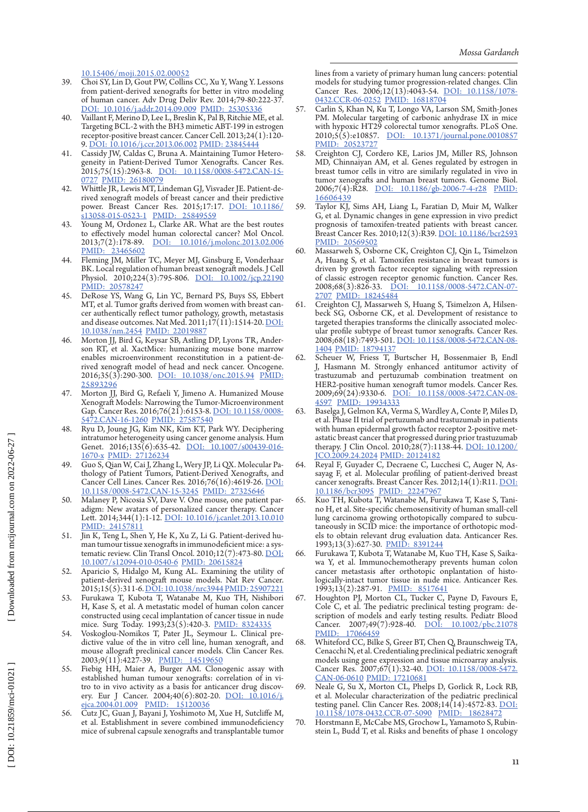[10.15406/moji.2015.02.00052](http://dx.doi.org/10.15406/moji.2015.02.00052)

- 39. Choi SY, Lin D, Gout PW, Collins CC, Xu Y, Wang Y. Lessons from patient-derived xenografts for better in vitro modeling of human cancer. Adv Drug Deliv Rev. 2014;79-80:222-37. [DOI: 10.1016/j.addr.2014.09.009](http://dx.doi.org/10.1016/j.addr.2014.09.009) [PMID: 25305336](http://www.ncbi.nlm.nih.gov/pubmed/25305336)
- 40. Vaillant F, Merino D, Lee L, Breslin K, Pal B, Ritchie ME, et al. Targeting BCL-2 with the BH3 mimetic ABT-199 in estrogen receptor-positive breast cancer. Cancer Cell. 2013;24(1):120- 9. [DOI: 10.1016/j.ccr.2013.06.002](http://dx.doi.org/10.1016/j.ccr.2013.06.002) [PMID: 23845444](http://www.ncbi.nlm.nih.gov/pubmed/23845444)
- 41. Cassidy JW, Caldas C, Bruna A. Maintaining Tumor Hetero geneity in Patient-Derived Tumor Xenografts. Cancer Res. 2015;75(15):2963-8. [DOI: 10.1158/0008-5472.CAN-15-](http://dx.doi.org/10.1158/0008-5472.CAN-15-0727) [0727](http://dx.doi.org/10.1158/0008-5472.CAN-15-0727) [PMID: 26180079](http://www.ncbi.nlm.nih.gov/pubmed/26180079)
- 42. Whittle JR, Lewis MT, Lindeman GJ, Visvader JE. Patient-de rived xenograft models of breast cancer and their predictive power. Breast Cancer Res. 2015;17:17. [DOI: 10.1186/](http://dx.doi.org/10.1186/s13058-015-0523-1) [s13058-015-0523-1](http://dx.doi.org/10.1186/s13058-015-0523-1) [PMID: 25849559](http://www.ncbi.nlm.nih.gov/pubmed/25849559)
- 43. Young M, Ordonez L, Clarke AR. What are the best routes to effectively model human colorectal cancer? Mol Oncol.<br>2013;7(2):178-89. <u>DOI: 10.1016/j.molonc.2013.02.006</u> [DOI: 10.1016/j.molonc.2013.02.006](http://dx.doi.org/10.1016/j.molonc.2013.02.006) [PMID: 23465602](http://www.ncbi.nlm.nih.gov/pubmed/23465602)
- 44. Fleming JM, Miller TC, Meyer MJ, Ginsburg E, Vonderhaar BK. Local regulation of human breast xenograft models. J Cell Physiol. 2010;224(3):795-806. <u>[DOI: 10.1002/jcp.22190](http://dx.doi.org/10.1002/jcp.22190)</u> [PMID: 20578247](http://www.ncbi.nlm.nih.gov/pubmed/20578247)
- 45. DeRose YS, Wang G, Lin YC, Bernard PS, Buys SS, Ebbert MT, et al. Tumor grafts derived from women with breast can MT, et al. Tumor grafts derived from women with breast can-<br>cer authentically reflect tumor pathology, growth, metastasis and disease outcomes. Nat Med. 2011;17(11):1514-20. <u>DOI:</u> [10.1038/nm.2454](http://dx.doi.org/10.1038/nm.2454) [PMID: 22019887](http://www.ncbi.nlm.nih.gov/pubmed/22019887)
- 46. Morton JJ, Bird G, Keysar SB, Astling DP, Lyons TR, Ander son RT, et al. XactMice: humanizing mouse bone marrow enables microenvironment reconstitution in a patient-de - rived xenograft model of head and neck cancer. Oncogene. 2016;35(3):290-300. [DOI: 10.1038/onc.2015.94](http://dx.doi.org/10.1038/onc.2015.94) [PMID:](http://www.ncbi.nlm.nih.gov/pubmed/25893296) [25893296](http://www.ncbi.nlm.nih.gov/pubmed/25893296)
- 47. Morton JJ, Bird G, Refaeli Y, Jimeno A. Humanized Mouse Xenograft Models: Narrowing the Tumor-Microenvironment Gap. Cancer Res. 2016;76(21):6153-8. <u>[DOI: 10.1158/0008-](http://dx.doi.org/10.1158/0008-5472.CAN-16-1260)</u> [5472.CAN-16-1260](http://dx.doi.org/10.1158/0008-5472.CAN-16-1260) [PMID: 27587540](http://www.ncbi.nlm.nih.gov/pubmed/27587540)
- 48. Ryu D, Joung JG, Kim NK, Kim KT, Park WY. Deciphering intratumor heterogeneity using cancer genome analysis. Hum Genet. 2016;135(6):635-42. [DOI: 10.1007/s00439-016-](http://dx.doi.org/10.1007/s00439-016-1670-x) [1670-](http://dx.doi.org/10.1007/s00439-016-1670-x)x PMID: 27126234
- 49. Guo S, Qian W, Cai J, Zhang L, Wery JP, Li QX. Molecular Pa thology of Patient Tumors, Patient-Derived Xenografts, and Cancer Cell Lines. Cancer Res. 2016;76(16):4619-26. [DOI:](http://dx.doi.org/10.1158/0008-5472.CAN-15-3245) [10.1158/0008-5472.CAN-15-3245](http://dx.doi.org/10.1158/0008-5472.CAN-15-3245) [PMID: 27325646](http://www.ncbi.nlm.nih.gov/pubmed/27325646)
- 50. Malaney P, Nicosia SV, Dave V. One mouse, one patient par Malaney P, Nicosia SV, Dave V. One mouse, one patient par-<br>adigm: New avatars of personalized cancer therapy. Cancer Lett. 2014;344(1):1-12. [DOI: 10.1016/j.canlet.2013.10.010](http://dx.doi.org/10.1016/j.canlet.2013.10.010) [PMID: 24157811](http://www.ncbi.nlm.nih.gov/pubmed/24157811)
- 51. Jin K, Teng L, Shen Y, He K, Xu Z, Li G. Patient-derived hu man tumour tissue xenografts in immunodeficient mice: a sys - tematic review. Clin Transl Oncol. 2010;12(7):473-80. [DOI:](http://dx.doi.org/10.1007/s12094-010-0540-6) [10.1007/s12094-010-0540-6](http://dx.doi.org/10.1007/s12094-010-0540-6) [PMID: 20615824](http://www.ncbi.nlm.nih.gov/pubmed/20615824)
- 52. Aparicio S, Hidalgo M, Kung AL. Examining the utility of patient-derived xenograft mouse models. Nat Rev Cancer. 2015;15(5):311-6. [DOI: 10.1038/nrc3944](http://dx.doi.org/10.1038/nrc3944)[PMID: 25907221](http://www.ncbi.nlm.nih.gov/pubmed/25907221)
- 53. Furukawa T, Kubota T, Watanabe M, Kuo TH, Nishibori H, Kase S, et al. A metastatic model of human colon cancer constructed using cecal implantation of cancer tissue in nude mice. Surg Today. 1993;23(5):420-3. [PMID: 8324335](http://www.ncbi.nlm.nih.gov/pubmed/8324335)
- 54. Voskoglou-Nomikos T, Pater JL, Seymour L. Clinical pre dictive value of the in vitro cell line, human xenograft, and mouse allograft preclinical cancer models. Clin Cancer Res.<br>2003:9(11):4227-39. PMID: 14519650 2003;9(11):4227-39. PMID:
- 55. Fiebig HH, Maier A, Burger AM. Clonogenic assay with established human tumour xenografts: correlation of in vi ery. Eur J Cancer. 2004;40(6):802-20. <u>[DOI: 10.1016/j.](http://dx.doi.org/10.1016/j.ejca.2004.01.009)</u><br>ejca.2004.01.009 PMID: 15120036 [ejca.2004.01.009](http://dx.doi.org/10.1016/j.ejca.2004.01.009) PMID:
- 56. Cutz JC, Guan J, Bayani J, Yoshimoto M, Xue H, Sutcliffe M, et al. Establishment in severe combined immunodeficiency mice of subrenal capsule xenografts and transplantable tumor

lines from a variety of primary human lung cancers: potential models for studying tumor progression-related changes. Clin Cancer Res. 2006;12(13):4043-54. [DOI: 10.1158/1078-](http://dx.doi.org/10.1158/1078-0432.CCR-06-0252) [0432.CCR-06-0252](http://dx.doi.org/10.1158/1078-0432.CCR-06-0252) [PMID: 16818704](http://www.ncbi.nlm.nih.gov/pubmed/16818704)

- 57. Carlin S, Khan N, Ku T, Longo VA, Larson SM, Smith-Jones PM. Molecular targeting of carbonic anhydrase IX in mice with hypoxic HT29 colorectal tumor xenografts. PLoS One. 2010;5(5):e10857. <u>[DOI: 10.1371/journal.pone.0010857](http://dx.doi.org/10.1371/journal.pone.0010857)</u> [PMID: 20523727](http://www.ncbi.nlm.nih.gov/pubmed/20523727)
- 58. Creighton CJ, Cordero KE, Larios JM, Miller RS, Johnson MD, Chinnaiyan AM, et al. Genes regulated by estrogen in breast tumor cells in vitro are similarly regulated in vivo in tumor xenografts and human breast tumors. Genome Biol. 2006;7(4):R28. [DOI: 10.1186/gb-2006-7-4-r28](http://dx.doi.org/10.1186/gb-2006-7-4-r28) [PMID:](http://www.ncbi.nlm.nih.gov/pubmed/16606439) [16606439](http://www.ncbi.nlm.nih.gov/pubmed/16606439)
- 59. Taylor KJ, Sims AH, Liang L, Faratian D, Muir M, Walker G, et al. Dynamic changes in gene expression in vivo predict prognosis of tamoxifen-treated patients with breast cancer. Breast Cancer Res. 2010;12(3):R39. [DOI: 10.1186/bcr2593](http://dx.doi.org/10.1186/bcr2593) [PMID: 20569502](http://www.ncbi.nlm.nih.gov/pubmed/20569502)
- Massarweh S, Osborne CK, Creighton CJ, Qin L, Tsimelzon A, Huang S, et al. Tamoxifen resistance in breast tumors is driven by growth factor receptor signaling with repression of classic estrogen receptor genomic function. Cancer Res. 2008;68(3):826-33. [DOI: 10.1158/0008-5472.CAN-07-](http://dx.doi.org/10.1158/0008-5472.CAN-07-2707) [2707](http://dx.doi.org/10.1158/0008-5472.CAN-07-2707) [PMID: 18245484](http://www.ncbi.nlm.nih.gov/pubmed/18245484)
- 61. Creighton CJ, Massarweh S, Huang S, Tsimelzon A, Hilsen beck SG, Osborne CK, et al. Development of resistance to targeted therapies transforms the clinically associated molec ular profile subtype of breast tumor xenografts. Cancer Res. 2008;68(18):7493-501. [DOI: 10.1158/0008-5472.CAN-08-](http://dx.doi.org/10.1158/0008-5472.CAN-08-1404) [1404](http://dx.doi.org/10.1158/0008-5472.CAN-08-1404) [PMID: 18794137](http://www.ncbi.nlm.nih.gov/pubmed/18794137)
- 62. Scheuer W, Friess T, Burtscher H, Bossenmaier B, Endl J, Hasmann M. Strongly enhanced antitumor activity of trastuzumab and pertuzumab combination treatment on HER2-positive human xenograft tumor models. Cancer Res. 2009;69(24):9330-6. [DOI: 10.1158/0008-5472.CAN-08-](http://dx.doi.org/10.1158/0008-5472.CAN-08-4597) [4597](http://dx.doi.org/10.1158/0008-5472.CAN-08-4597) [PMID: 19934333](http://www.ncbi.nlm.nih.gov/pubmed/19934333)
- 63. Baselga J, Gelmon KA, Verma S, Wardley A, Conte P, Miles D, et al. Phase II trial of pertuzumab and trastuzumab in patients with human epidermal growth factor receptor 2-positive met astatic breast cancer that progressed during prior trastuzumab therapy. J Clin Oncol. 2010;28(7):1138-44. [DOI: 10.1200/](http://dx.doi.org/10.1200/JCO.2009.24.2024) [JCO.2009.24.2024](http://dx.doi.org/10.1200/JCO.2009.24.2024) [PMID: 20124182](http://www.ncbi.nlm.nih.gov/pubmed/20124182)
- 64. Reyal F, Guyader C, Decraene C, Lucchesi C, Auger N, As sayag F, et al. Molecular profiling of patient-derived breast cancer xenografts. Breast Cancer Res. 2012;14(1):R11. [DOI:](http://dx.doi.org/10.1186/bcr3095) [10.1186/bcr3095](http://dx.doi.org/10.1186/bcr3095) [PMID: 22247967](http://www.ncbi.nlm.nih.gov/pubmed/22247967)
- 65. Kuo TH, Kubota T, Watanabe M, Furukawa T, Kase S, Tani - no H, et al. Site-specific chemosensitivity of human small-cell lung carcinoma growing orthotopically compared to subcu taneously in SCID mice: the importance of orthotopic models to obtain relevant drug evaluation data. Anticancer Res. 1993;13(3):627-30. [PMID: 8391244](http://www.ncbi.nlm.nih.gov/pubmed/8391244)
- 66. Furukawa T, Kubota T, Watanabe M, Kuo TH, Kase S, Saika wa Y, et al. Immunochemotherapy prevents human colon cancer metastasis after orthotopic onplantation of histo logically-intact tumor tissue in nude mice. Anticancer Res. 1993;13(2):287-91. [PMID: 8517641](http://www.ncbi.nlm.nih.gov/pubmed/8517641)
- Houghton PJ, Morton CL, Tucker C, Payne D, Favours E, Cole C, et al. The pediatric preclinical testing program: de scription of models and early testing results. Pediatr Blood<br>Cancer. 2007;49(7):928-40. <u>DOI: 10.1002/pbc.21078</u> Cancer. 2007;49(7):928-40. DOI: [PMID: 17066459](http://www.ncbi.nlm.nih.gov/pubmed/17066459)
- 68. Whiteford CC, Bilke S, Greer BT, Chen Q, Braunschweig TA, Cenacchi N, et al. Credentialing preclinical pediatric xenograft models using gene expression and tissue microarray analysis. Cancer Res. 2007;67(1):32-40. [DOI: 10.1158/0008-5472.](http://dx.doi.org/10.1158/0008-5472.CAN-06-0610) [CAN-06-0610](http://dx.doi.org/10.1158/0008-5472.CAN-06-0610) [PMID: 17210681](http://www.ncbi.nlm.nih.gov/pubmed/17210681)
- 69. Neale G, Su X, Morton CL, Phelps D, Gorlick R, Lock RB, et al. Molecular characterization of the pediatric preclinical testing panel. Clin Cancer Res. 2008;14(14):4572-83. [DOI:](http://dx.doi.org/10.1158/1078-0432.CCR-07-5090) [10.1158/1078-0432.CCR-07-5090](http://dx.doi.org/10.1158/1078-0432.CCR-07-5090) [PMID: 18628472](http://www.ncbi.nlm.nih.gov/pubmed/18628472)
- 70. Horstmann E, McCabe MS, Grochow L, Yamamoto S, Rubin stein L, Budd T, et al. Risks and benefits of phase 1 oncology